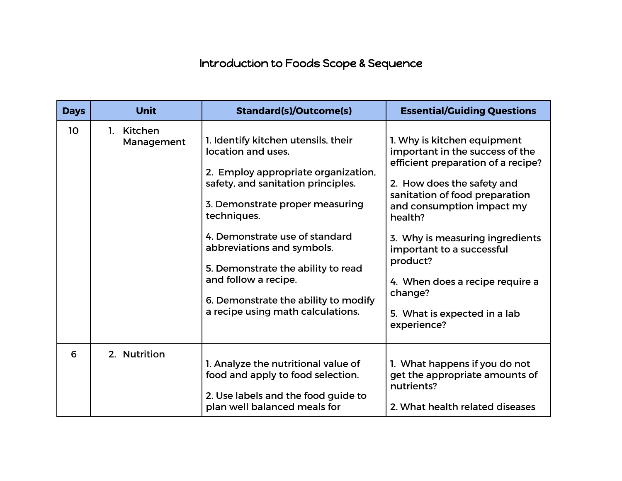## Introduction to Foods Scope & Sequence

| <b>Days</b> | <b>Unit</b>              | <b>Standard(s)/Outcome(s)</b>                                                                                                                                                                                                                                                                                                                                                                       | <b>Essential/Guiding Questions</b>                                                                                                                                                                                                                                                                                                                                                    |
|-------------|--------------------------|-----------------------------------------------------------------------------------------------------------------------------------------------------------------------------------------------------------------------------------------------------------------------------------------------------------------------------------------------------------------------------------------------------|---------------------------------------------------------------------------------------------------------------------------------------------------------------------------------------------------------------------------------------------------------------------------------------------------------------------------------------------------------------------------------------|
| 10          | 1. Kitchen<br>Management | 1. Identify kitchen utensils, their<br>location and uses.<br>2. Employ appropriate organization,<br>safety, and sanitation principles.<br>3. Demonstrate proper measuring<br>techniques.<br>4. Demonstrate use of standard<br>abbreviations and symbols.<br>5. Demonstrate the ability to read<br>and follow a recipe.<br>6. Demonstrate the ability to modify<br>a recipe using math calculations. | 1. Why is kitchen equipment<br>important in the success of the<br>efficient preparation of a recipe?<br>2. How does the safety and<br>sanitation of food preparation<br>and consumption impact my<br>health?<br>3. Why is measuring ingredients<br>important to a successful<br>product?<br>4. When does a recipe require a<br>change?<br>5. What is expected in a lab<br>experience? |
| 6           | 2. Nutrition             | 1. Analyze the nutritional value of<br>food and apply to food selection.<br>2. Use labels and the food guide to<br>plan well balanced meals for                                                                                                                                                                                                                                                     | 1. What happens if you do not<br>get the appropriate amounts of<br>nutrients?<br>2. What health related diseases                                                                                                                                                                                                                                                                      |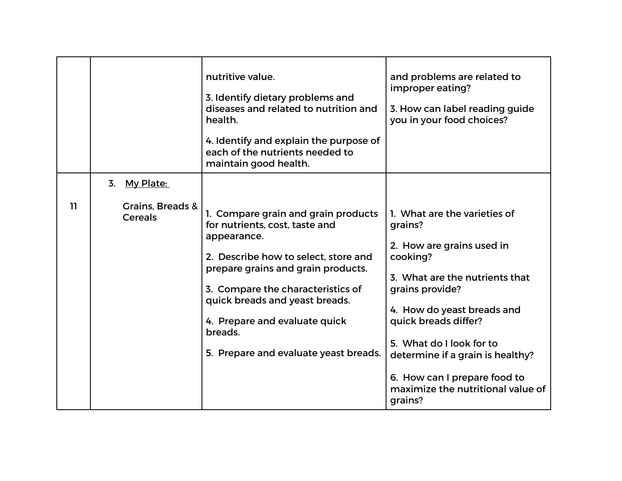|    |                                                    | nutritive value.<br>3. Identify dietary problems and<br>diseases and related to nutrition and<br>health.<br>4. Identify and explain the purpose of<br>each of the nutrients needed to<br>maintain good health.                                                                                                                 | and problems are related to<br>improper eating?<br>3. How can label reading guide<br>you in your food choices?                                                                                                                                                                                                                              |
|----|----------------------------------------------------|--------------------------------------------------------------------------------------------------------------------------------------------------------------------------------------------------------------------------------------------------------------------------------------------------------------------------------|---------------------------------------------------------------------------------------------------------------------------------------------------------------------------------------------------------------------------------------------------------------------------------------------------------------------------------------------|
| 11 | 3. My Plate:<br>Grains, Breads &<br><b>Cereals</b> | 1. Compare grain and grain products<br>for nutrients, cost, taste and<br>appearance.<br>2. Describe how to select, store and<br>prepare grains and grain products.<br>3. Compare the characteristics of<br>quick breads and yeast breads.<br>4. Prepare and evaluate quick<br>breads.<br>5. Prepare and evaluate yeast breads. | 1. What are the varieties of<br>grains?<br>2. How are grains used in<br>cooking?<br>3. What are the nutrients that<br>grains provide?<br>4. How do yeast breads and<br>quick breads differ?<br>5. What do I look for to<br>determine if a grain is healthy?<br>6. How can I prepare food to<br>maximize the nutritional value of<br>grains? |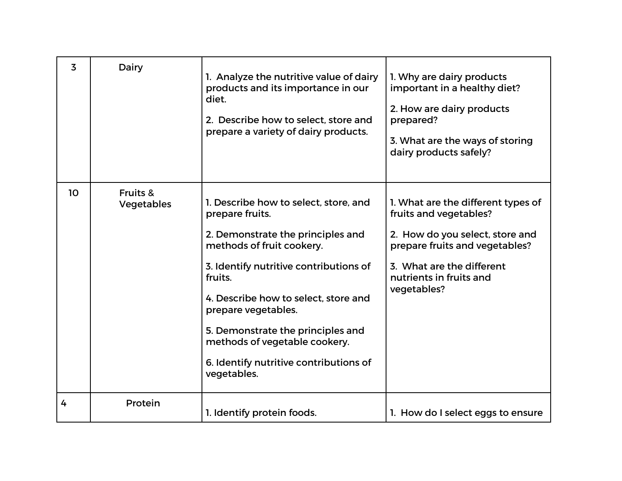| 3               | Dairy                                    | 1. Analyze the nutritive value of dairy<br>products and its importance in our<br>diet.<br>2. Describe how to select, store and<br>prepare a variety of dairy products.                                                                                                                                                                                                        | 1. Why are dairy products<br>important in a healthy diet?<br>2. How are dairy products<br>prepared?<br>3. What are the ways of storing<br>dairy products safely?                                         |
|-----------------|------------------------------------------|-------------------------------------------------------------------------------------------------------------------------------------------------------------------------------------------------------------------------------------------------------------------------------------------------------------------------------------------------------------------------------|----------------------------------------------------------------------------------------------------------------------------------------------------------------------------------------------------------|
| 10 <sup>°</sup> | <b>Fruits &amp;</b><br><b>Vegetables</b> | 1. Describe how to select, store, and<br>prepare fruits.<br>2. Demonstrate the principles and<br>methods of fruit cookery.<br>3. Identify nutritive contributions of<br>fruits.<br>4. Describe how to select, store and<br>prepare vegetables.<br>5. Demonstrate the principles and<br>methods of vegetable cookery.<br>6. Identify nutritive contributions of<br>vegetables. | 1. What are the different types of<br>fruits and vegetables?<br>2. How do you select, store and<br>prepare fruits and vegetables?<br>3. What are the different<br>nutrients in fruits and<br>vegetables? |
| 4               | Protein                                  | 1. Identify protein foods.                                                                                                                                                                                                                                                                                                                                                    | 1. How do I select eggs to ensure                                                                                                                                                                        |